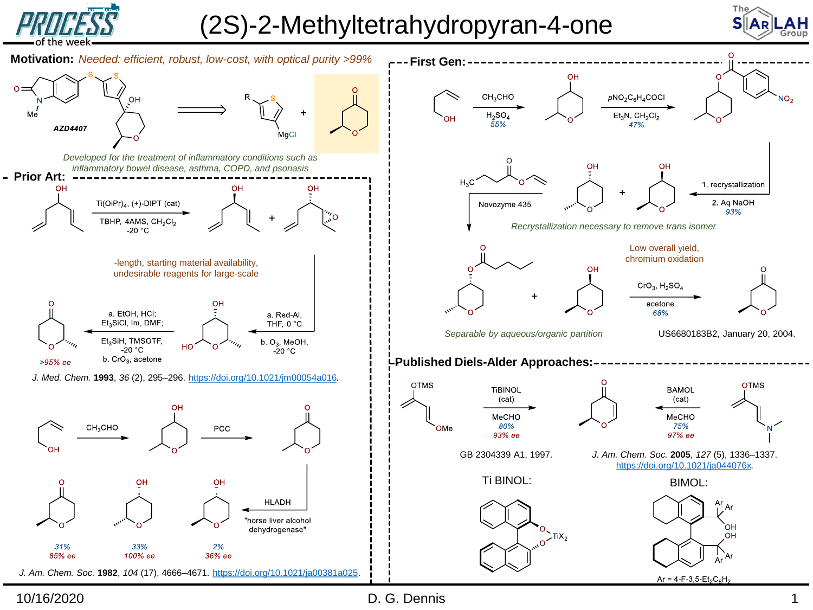

## (2S)-2-Methyltetrahydropyran-4-one